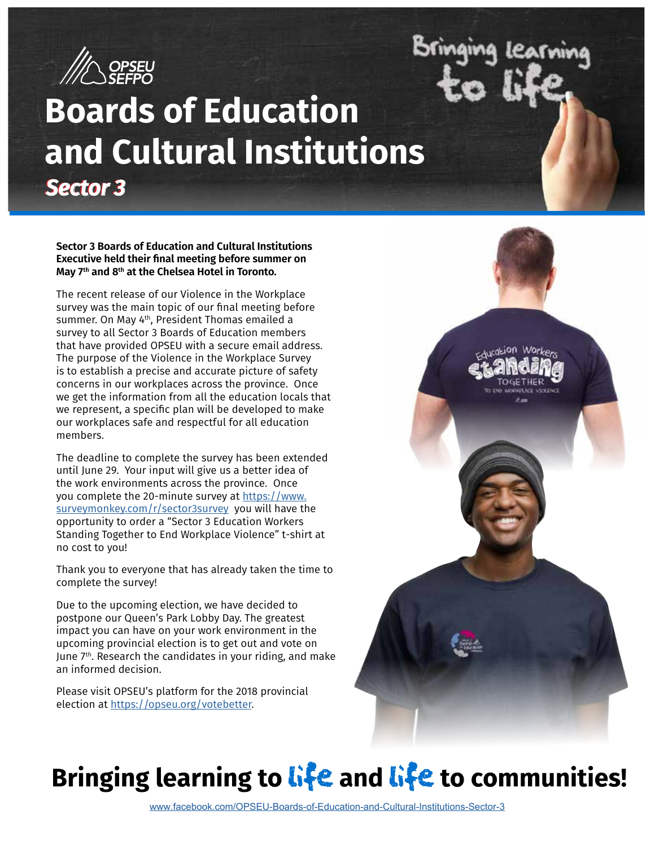

# **Boards of Education and Cultural Institutions** *Sector 3 Sector 3*

**Sector 3 Boards of Education and Cultural Institutions Executive held their final meeting before summer on May 7th and 8th at the Chelsea Hotel in Toronto.** 

The recent release of our Violence in the Workplace survey was the main topic of our final meeting before summer. On May 4<sup>th</sup>, President Thomas emailed a survey to all Sector 3 Boards of Education members that have provided OPSEU with a secure email address. The purpose of the Violence in the Workplace Survey is to establish a precise and accurate picture of safety concerns in our workplaces across the province. Once we get the information from all the education locals that we represent, a specific plan will be developed to make our workplaces safe and respectful for all education members.

The deadline to complete the survey has been extended until June 29. Your input will give us a better idea of the work environments across the province. Once you complete the 20-minute survey at https:[//www.](http:////www.surveymonkey.com/r/sector3survey) [surveymonkey.com/r/sector3survey](http:////www.surveymonkey.com/r/sector3survey) you will have the opportunity to order a "Sector 3 Education Workers Standing Together to End Workplace Violence" t-shirt at no cost to you!

Thank you to everyone that has already taken the time to complete the survey!

Due to the upcoming election, we have decided to postpone our Queen's Park Lobby Day. The greatest impact you can have on your work environment in the upcoming provincial election is to get out and vote on June  $7<sup>th</sup>$ . Research the candidates in your riding, and make an informed decision.

Please visit OPSEU's platform for the 2018 provincial election at<https://opseu.org/votebetter>.



Bringing

learning

# **Bringing learning to** life **and** life **to communities!**

www.facebook.com/OPSEU-Boards-of-Education-and-Cultural-Institutions-Sector-3- [www.facebook.com/OPSEU-Boards-of-Education-and-Cultural-Institutions-Sector-3](https://www.facebook.com/OPSEU-Boards-of-Education-and-Cultural-Institutions-Sector-3-309824972456059/)